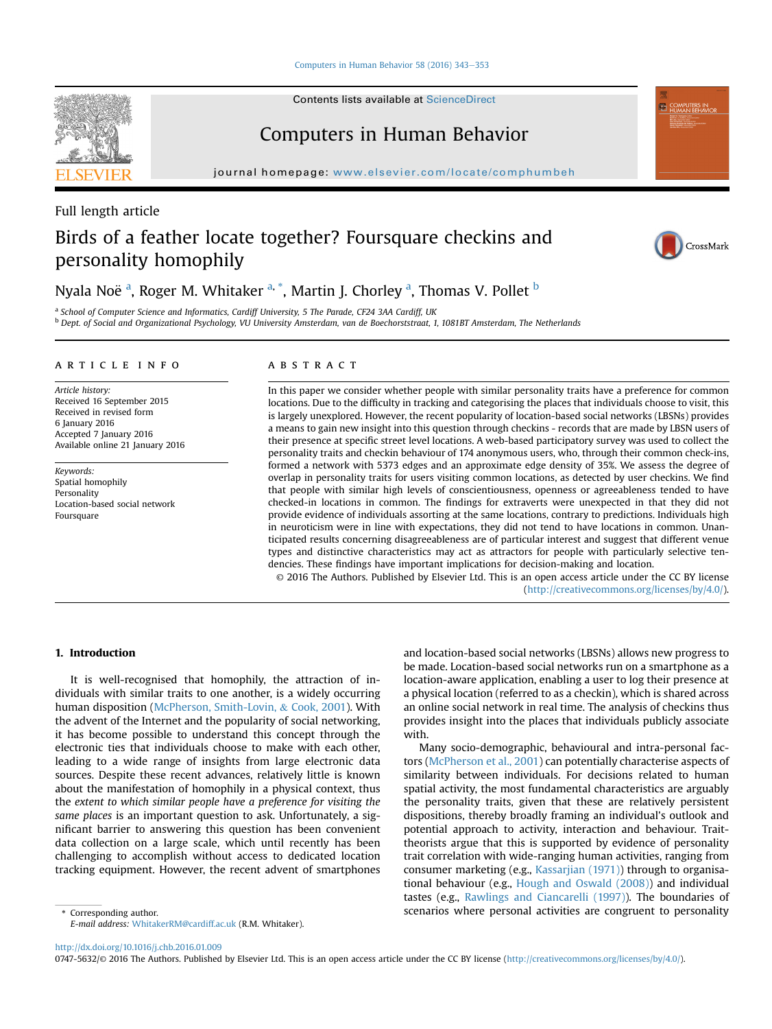[Computers in Human Behavior 58 \(2016\) 343](http://dx.doi.org/10.1016/j.chb.2016.01.009)-[353](http://dx.doi.org/10.1016/j.chb.2016.01.009)

Contents lists available at ScienceDirect

## Computers in Human Behavior

 $j$ ornal homepage: www.elsevier.com/locate/complus  $\mathbb{R}^n$ 

# Birds of a feather locate together? Foursquare checkins and personality homophily



Nyala Noë <sup>a</sup>, Roger M. Whitaker <sup>a, \*</sup>, Martin J. Chorley <sup>a</sup>, Thomas V. Pollet <sup>b</sup>

<sup>a</sup> School of Computer Science and Informatics, Cardiff University, 5 The Parade, CF24 3AA Cardiff, UK <sup>b</sup> Dept. of Social and Organizational Psychology, VU University Amsterdam, van de Boechorststraat, 1, 1081BT Amsterdam, The Netherlands

## article info

Article history: Received 16 September 2015 Received in revised form 6 January 2016 Accepted 7 January 2016 Available online 21 January 2016

Keywords: Spatial homophily Personality Location-based social network Foursquare

## ABSTRACT

In this paper we consider whether people with similar personality traits have a preference for common locations. Due to the difficulty in tracking and categorising the places that individuals choose to visit, this is largely unexplored. However, the recent popularity of location-based social networks (LBSNs) provides a means to gain new insight into this question through checkins - records that are made by LBSN users of their presence at specific street level locations. A web-based participatory survey was used to collect the personality traits and checkin behaviour of 174 anonymous users, who, through their common check-ins, formed a network with 5373 edges and an approximate edge density of 35%. We assess the degree of overlap in personality traits for users visiting common locations, as detected by user checkins. We find that people with similar high levels of conscientiousness, openness or agreeableness tended to have checked-in locations in common. The findings for extraverts were unexpected in that they did not provide evidence of individuals assorting at the same locations, contrary to predictions. Individuals high in neuroticism were in line with expectations, they did not tend to have locations in common. Unanticipated results concerning disagreeableness are of particular interest and suggest that different venue types and distinctive characteristics may act as attractors for people with particularly selective tendencies. These findings have important implications for decision-making and location.

© 2016 The Authors. Published by Elsevier Ltd. This is an open access article under the CC BY license [\(http://creativecommons.org/licenses/by/4.0/](http://creativecommons.org/licenses/by/4.�0/)).

## 1. Introduction

It is well-recognised that homophily, the attraction of individuals with similar traits to one another, is a widely occurring human disposition ([McPherson, Smith-Lovin,](#page-10-0) & [Cook, 2001](#page-10-0)). With the advent of the Internet and the popularity of social networking, it has become possible to understand this concept through the electronic ties that individuals choose to make with each other, leading to a wide range of insights from large electronic data sources. Despite these recent advances, relatively little is known about the manifestation of homophily in a physical context, thus the extent to which similar people have a preference for visiting the same places is an important question to ask. Unfortunately, a significant barrier to answering this question has been convenient data collection on a large scale, which until recently has been challenging to accomplish without access to dedicated location tracking equipment. However, the recent advent of smartphones and location-based social networks (LBSNs) allows new progress to be made. Location-based social networks run on a smartphone as a location-aware application, enabling a user to log their presence at a physical location (referred to as a checkin), which is shared across an online social network in real time. The analysis of checkins thus provides insight into the places that individuals publicly associate with.

Many socio-demographic, behavioural and intra-personal factors [\(McPherson et al., 2001\)](#page-10-0) can potentially characterise aspects of similarity between individuals. For decisions related to human spatial activity, the most fundamental characteristics are arguably the personality traits, given that these are relatively persistent dispositions, thereby broadly framing an individual's outlook and potential approach to activity, interaction and behaviour. Traittheorists argue that this is supported by evidence of personality trait correlation with wide-ranging human activities, ranging from consumer marketing (e.g., [Kassarjian \(1971\)](#page-10-0)) through to organisational behaviour (e.g., [Hough and Oswald \(2008\)\)](#page-10-0) and individual tastes (e.g., [Rawlings and Ciancarelli \(1997\)](#page-10-0)). The boundaries of The corresponding author. Scenarios where personal activities are congruent to personality

E-mail address: [WhitakerRM@cardiff.ac.uk](mailto:WhitakerRM@cardiff.ac.uk) (R.M. Whitaker).

<http://dx.doi.org/10.1016/j.chb.2016.01.009>

0747-5632/© 2016 The Authors. Published by Elsevier Ltd. This is an open access article under the CC BY license [\(http://creativecommons.org/licenses/by/4.0/](http://creativecommons.org/licenses/by/4.�0/)).

<span id="page-0-0"></span>

Full length article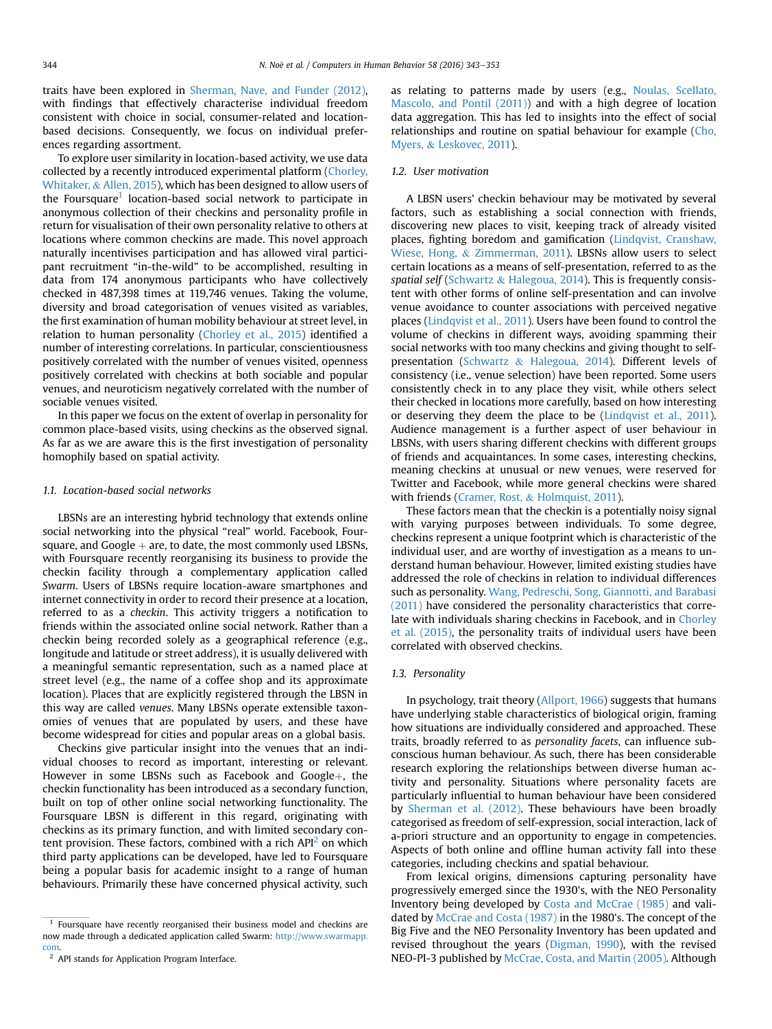<span id="page-1-0"></span>traits have been explored in [Sherman, Nave, and Funder \(2012\),](#page-10-0) with findings that effectively characterise individual freedom consistent with choice in social, consumer-related and locationbased decisions. Consequently, we focus on individual preferences regarding assortment.

To explore user similarity in location-based activity, we use data collected by a recently introduced experimental platform [\(Chorley,](#page-10-0) [Whitaker,](#page-10-0) & [Allen, 2015](#page-10-0)), which has been designed to allow users of the Foursquare<sup>1</sup> location-based social network to participate in anonymous collection of their checkins and personality profile in return for visualisation of their own personality relative to others at locations where common checkins are made. This novel approach naturally incentivises participation and has allowed viral participant recruitment "in-the-wild" to be accomplished, resulting in data from 174 anonymous participants who have collectively checked in 487,398 times at 119,746 venues. Taking the volume, diversity and broad categorisation of venues visited as variables, the first examination of human mobility behaviour at street level, in relation to human personality ([Chorley et al., 2015\)](#page-10-0) identified a number of interesting correlations. In particular, conscientiousness positively correlated with the number of venues visited, openness positively correlated with checkins at both sociable and popular venues, and neuroticism negatively correlated with the number of sociable venues visited.

In this paper we focus on the extent of overlap in personality for common place-based visits, using checkins as the observed signal. As far as we are aware this is the first investigation of personality homophily based on spatial activity.

## 1.1. Location-based social networks

LBSNs are an interesting hybrid technology that extends online social networking into the physical "real" world. Facebook, Foursquare, and  $Google + are$ , to date, the most commonly used LBSNs, with Foursquare recently reorganising its business to provide the checkin facility through a complementary application called Swarm. Users of LBSNs require location-aware smartphones and internet connectivity in order to record their presence at a location, referred to as a checkin. This activity triggers a notification to friends within the associated online social network. Rather than a checkin being recorded solely as a geographical reference (e.g., longitude and latitude or street address), it is usually delivered with a meaningful semantic representation, such as a named place at street level (e.g., the name of a coffee shop and its approximate location). Places that are explicitly registered through the LBSN in this way are called venues. Many LBSNs operate extensible taxonomies of venues that are populated by users, and these have become widespread for cities and popular areas on a global basis.

Checkins give particular insight into the venues that an individual chooses to record as important, interesting or relevant. However in some LBSNs such as Facebook and  $Google+$ , the checkin functionality has been introduced as a secondary function, built on top of other online social networking functionality. The Foursquare LBSN is different in this regard, originating with checkins as its primary function, and with limited secondary content provision. These factors, combined with a rich  $API<sup>2</sup>$  on which third party applications can be developed, have led to Foursquare being a popular basis for academic insight to a range of human behaviours. Primarily these have concerned physical activity, such as relating to patterns made by users (e.g., [Noulas, Scellato,](#page-10-0) [Mascolo, and Pontil \(2011\)\)](#page-10-0) and with a high degree of location data aggregation. This has led to insights into the effect of social relationships and routine on spatial behaviour for example [\(Cho,](#page-10-0) [Myers,](#page-10-0) & [Leskovec, 2011](#page-10-0)).

#### 1.2. User motivation

A LBSN users' checkin behaviour may be motivated by several factors, such as establishing a social connection with friends, discovering new places to visit, keeping track of already visited places, fighting boredom and gamification ([Lindqvist, Cranshaw,](#page-10-0) [Wiese, Hong,](#page-10-0) & [Zimmerman, 2011\)](#page-10-0). LBSNs allow users to select certain locations as a means of self-presentation, referred to as the spatial self [\(Schwartz](#page-10-0) & [Halegoua, 2014](#page-10-0)). This is frequently consistent with other forms of online self-presentation and can involve venue avoidance to counter associations with perceived negative places [\(Lindqvist et al., 2011](#page-10-0)). Users have been found to control the volume of checkins in different ways, avoiding spamming their social networks with too many checkins and giving thought to selfpresentation ([Schwartz](#page-10-0) & [Halegoua, 2014\)](#page-10-0). Different levels of consistency (i.e., venue selection) have been reported. Some users consistently check in to any place they visit, while others select their checked in locations more carefully, based on how interesting or deserving they deem the place to be [\(Lindqvist et al., 2011\)](#page-10-0). Audience management is a further aspect of user behaviour in LBSNs, with users sharing different checkins with different groups of friends and acquaintances. In some cases, interesting checkins, meaning checkins at unusual or new venues, were reserved for Twitter and Facebook, while more general checkins were shared with friends ([Cramer, Rost,](#page-10-0) & [Holmquist, 2011](#page-10-0)).

These factors mean that the checkin is a potentially noisy signal with varying purposes between individuals. To some degree, checkins represent a unique footprint which is characteristic of the individual user, and are worthy of investigation as a means to understand human behaviour. However, limited existing studies have addressed the role of checkins in relation to individual differences such as personality. [Wang, Pedreschi, Song, Giannotti, and Barabasi](#page-10-0) [\(2011\)](#page-10-0) have considered the personality characteristics that correlate with individuals sharing checkins in Facebook, and in [Chorley](#page-10-0) [et al. \(2015\),](#page-10-0) the personality traits of individual users have been correlated with observed checkins.

## 1.3. Personality

In psychology, trait theory ([Allport, 1966\)](#page-10-0) suggests that humans have underlying stable characteristics of biological origin, framing how situations are individually considered and approached. These traits, broadly referred to as personality facets, can influence subconscious human behaviour. As such, there has been considerable research exploring the relationships between diverse human activity and personality. Situations where personality facets are particularly influential to human behaviour have been considered by [Sherman et al. \(2012\).](#page-10-0) These behaviours have been broadly categorised as freedom of self-expression, social interaction, lack of a-priori structure and an opportunity to engage in competencies. Aspects of both online and offline human activity fall into these categories, including checkins and spatial behaviour.

From lexical origins, dimensions capturing personality have progressively emerged since the 1930's, with the NEO Personality Inventory being developed by [Costa and McCrae \(1985\)](#page-10-0) and validated by [McCrae and Costa \(1987\)](#page-10-0) in the 1980's. The concept of the Big Five and the NEO Personality Inventory has been updated and revised throughout the years [\(Digman, 1990\)](#page-10-0), with the revised NEO-PI-3 published by [McCrae, Costa, and Martin \(2005\)](#page-10-0). Although

<sup>&</sup>lt;sup>1</sup> Foursquare have recently reorganised their business model and checkins are now made through a dedicated application called Swarm: [http://www.swarmapp.](http://www.swarmapp.com) [com.](http://www.swarmapp.com)

<sup>2</sup> API stands for Application Program Interface.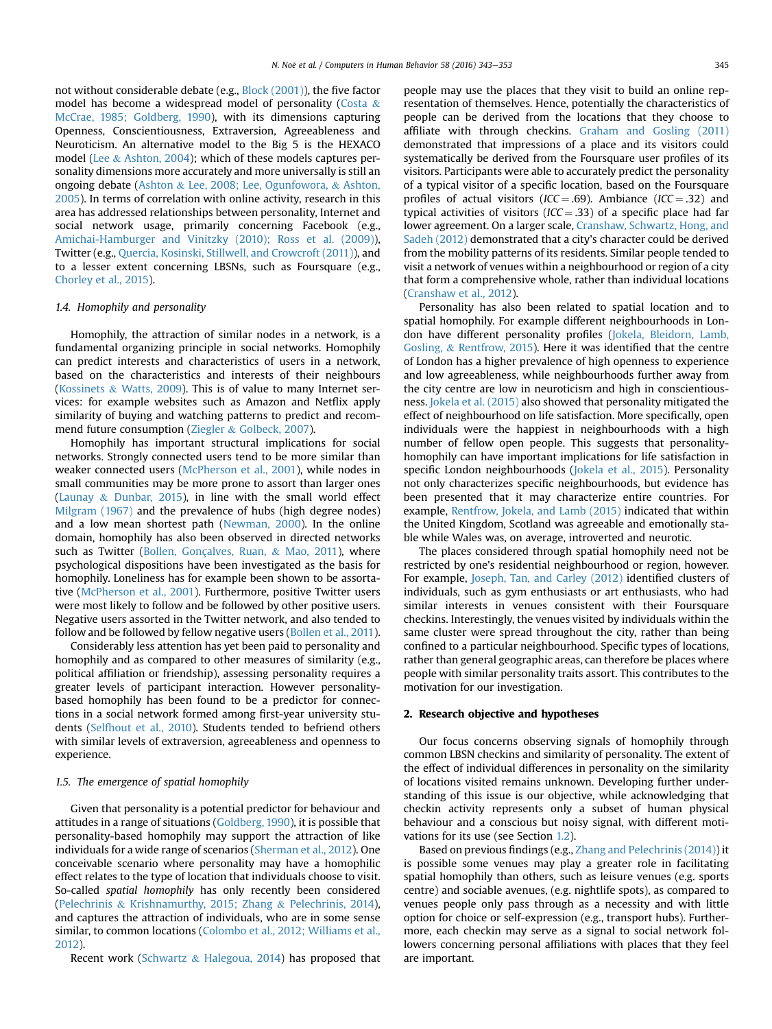not without considerable debate (e.g., [Block \(2001\)](#page-10-0)), the five factor model has become a widespread model of personality [\(Costa](#page-10-0) & [McCrae, 1985; Goldberg, 1990\)](#page-10-0), with its dimensions capturing Openness, Conscientiousness, Extraversion, Agreeableness and Neuroticism. An alternative model to the Big 5 is the HEXACO model ([Lee](#page-10-0) & [Ashton, 2004](#page-10-0)); which of these models captures personality dimensions more accurately and more universally is still an ongoing debate ([Ashton](#page-10-0) & [Lee, 2008; Lee, Ogunfowora,](#page-10-0) & [Ashton,](#page-10-0) [2005\)](#page-10-0). In terms of correlation with online activity, research in this area has addressed relationships between personality, Internet and social network usage, primarily concerning Facebook (e.g., [Amichai-Hamburger and Vinitzky \(2010\); Ross et al. \(2009\)\)](#page-10-0), Twitter (e.g., [Quercia, Kosinski, Stillwell, and Crowcroft \(2011\)\)](#page-10-0), and to a lesser extent concerning LBSNs, such as Foursquare (e.g., [Chorley et al., 2015\)](#page-10-0).

## 1.4. Homophily and personality

Homophily, the attraction of similar nodes in a network, is a fundamental organizing principle in social networks. Homophily can predict interests and characteristics of users in a network, based on the characteristics and interests of their neighbours ([Kossinets](#page-10-0) & [Watts, 2009](#page-10-0)). This is of value to many Internet services: for example websites such as Amazon and Netflix apply similarity of buying and watching patterns to predict and recommend future consumption ([Ziegler](#page-10-0) & [Golbeck, 2007\)](#page-10-0).

Homophily has important structural implications for social networks. Strongly connected users tend to be more similar than weaker connected users ([McPherson et al., 2001\)](#page-10-0), while nodes in small communities may be more prone to assort than larger ones ([Launay](#page-10-0) & [Dunbar, 2015\)](#page-10-0), in line with the small world effect [Milgram \(1967\)](#page-10-0) and the prevalence of hubs (high degree nodes) and a low mean shortest path [\(Newman, 2000](#page-10-0)). In the online domain, homophily has also been observed in directed networks such as Twitter ([Bollen, Gonçalves, Ruan,](#page-10-0) & [Mao, 2011\)](#page-10-0), where psychological dispositions have been investigated as the basis for homophily. Loneliness has for example been shown to be assortative [\(McPherson et al., 2001](#page-10-0)). Furthermore, positive Twitter users were most likely to follow and be followed by other positive users. Negative users assorted in the Twitter network, and also tended to follow and be followed by fellow negative users [\(Bollen et al., 2011\)](#page-10-0).

Considerably less attention has yet been paid to personality and homophily and as compared to other measures of similarity (e.g., political affiliation or friendship), assessing personality requires a greater levels of participant interaction. However personalitybased homophily has been found to be a predictor for connections in a social network formed among first-year university students [\(Selfhout et al., 2010](#page-10-0)). Students tended to befriend others with similar levels of extraversion, agreeableness and openness to experience.

## 1.5. The emergence of spatial homophily

Given that personality is a potential predictor for behaviour and attitudes in a range of situations [\(Goldberg, 1990\)](#page-10-0), it is possible that personality-based homophily may support the attraction of like individuals for a wide range of scenarios [\(Sherman et al., 2012\)](#page-10-0). One conceivable scenario where personality may have a homophilic effect relates to the type of location that individuals choose to visit. So-called spatial homophily has only recently been considered ([Pelechrinis](#page-10-0) & [Krishnamurthy, 2015; Zhang](#page-10-0) & [Pelechrinis, 2014\)](#page-10-0), and captures the attraction of individuals, who are in some sense similar, to common locations ([Colombo et al., 2012; Williams et al.,](#page-10-0) [2012\)](#page-10-0).

Recent work [\(Schwartz](#page-10-0) & [Halegoua, 2014\)](#page-10-0) has proposed that

people may use the places that they visit to build an online representation of themselves. Hence, potentially the characteristics of people can be derived from the locations that they choose to affiliate with through checkins. [Graham and Gosling \(2011\)](#page-10-0) demonstrated that impressions of a place and its visitors could systematically be derived from the Foursquare user profiles of its visitors. Participants were able to accurately predict the personality of a typical visitor of a specific location, based on the Foursquare profiles of actual visitors ( $ICC = .69$ ). Ambiance ( $ICC = .32$ ) and typical activities of visitors ( $ICC = .33$ ) of a specific place had far lower agreement. On a larger scale, [Cranshaw, Schwartz, Hong, and](#page-10-0) [Sadeh \(2012\)](#page-10-0) demonstrated that a city's character could be derived from the mobility patterns of its residents. Similar people tended to visit a network of venues within a neighbourhood or region of a city that form a comprehensive whole, rather than individual locations ([Cranshaw et al., 2012](#page-10-0)).

Personality has also been related to spatial location and to spatial homophily. For example different neighbourhoods in London have different personality profiles ([Jokela, Bleidorn, Lamb,](#page-10-0) [Gosling,](#page-10-0) & [Rentfrow, 2015](#page-10-0)). Here it was identified that the centre of London has a higher prevalence of high openness to experience and low agreeableness, while neighbourhoods further away from the city centre are low in neuroticism and high in conscientiousness. [Jokela et al. \(2015\)](#page-10-0) also showed that personality mitigated the effect of neighbourhood on life satisfaction. More specifically, open individuals were the happiest in neighbourhoods with a high number of fellow open people. This suggests that personalityhomophily can have important implications for life satisfaction in specific London neighbourhoods ([Jokela et al., 2015\)](#page-10-0). Personality not only characterizes specific neighbourhoods, but evidence has been presented that it may characterize entire countries. For example, [Rentfrow, Jokela, and Lamb \(2015\)](#page-10-0) indicated that within the United Kingdom, Scotland was agreeable and emotionally stable while Wales was, on average, introverted and neurotic.

The places considered through spatial homophily need not be restricted by one's residential neighbourhood or region, however. For example, [Joseph, Tan, and Carley \(2012\)](#page-10-0) identified clusters of individuals, such as gym enthusiasts or art enthusiasts, who had similar interests in venues consistent with their Foursquare checkins. Interestingly, the venues visited by individuals within the same cluster were spread throughout the city, rather than being confined to a particular neighbourhood. Specific types of locations, rather than general geographic areas, can therefore be places where people with similar personality traits assort. This contributes to the motivation for our investigation.

## 2. Research objective and hypotheses

Our focus concerns observing signals of homophily through common LBSN checkins and similarity of personality. The extent of the effect of individual differences in personality on the similarity of locations visited remains unknown. Developing further understanding of this issue is our objective, while acknowledging that checkin activity represents only a subset of human physical behaviour and a conscious but noisy signal, with different motivations for its use (see Section [1.2\)](#page-1-0).

Based on previous findings (e.g., [Zhang and Pelechrinis \(2014\)](#page-10-0)) it is possible some venues may play a greater role in facilitating spatial homophily than others, such as leisure venues (e.g. sports centre) and sociable avenues, (e.g. nightlife spots), as compared to venues people only pass through as a necessity and with little option for choice or self-expression (e.g., transport hubs). Furthermore, each checkin may serve as a signal to social network followers concerning personal affiliations with places that they feel are important.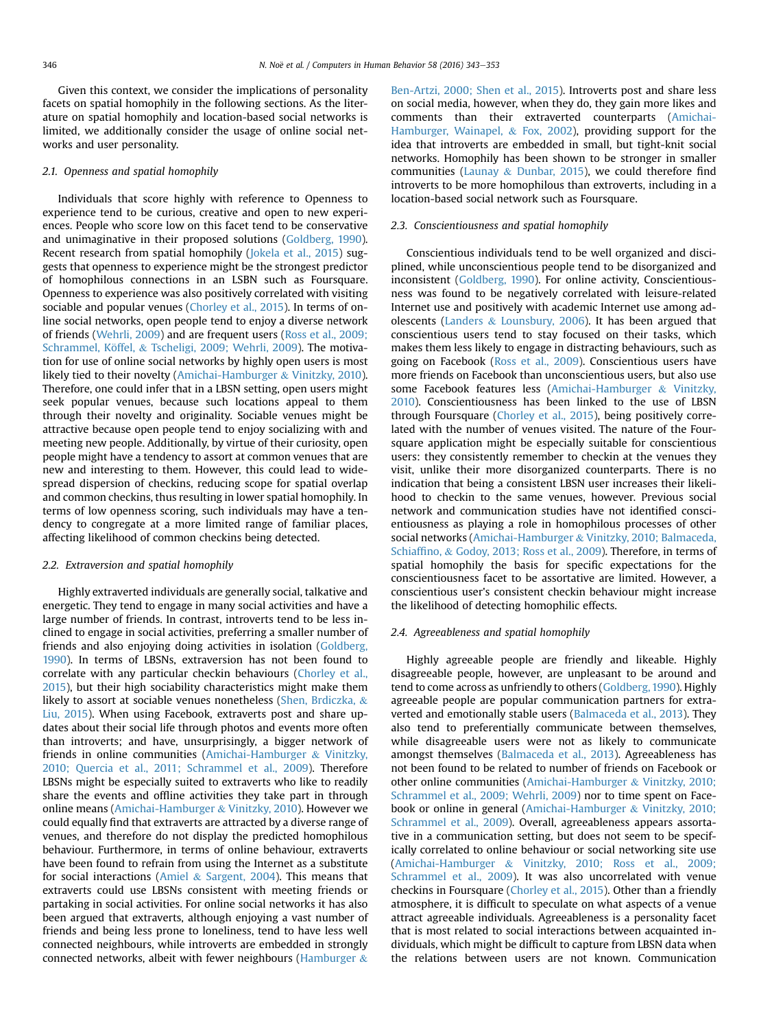Given this context, we consider the implications of personality facets on spatial homophily in the following sections. As the literature on spatial homophily and location-based social networks is limited, we additionally consider the usage of online social networks and user personality.

## 2.1. Openness and spatial homophily

Individuals that score highly with reference to Openness to experience tend to be curious, creative and open to new experiences. People who score low on this facet tend to be conservative and unimaginative in their proposed solutions ([Goldberg, 1990\)](#page-10-0). Recent research from spatial homophily [\(Jokela et al., 2015](#page-10-0)) suggests that openness to experience might be the strongest predictor of homophilous connections in an LSBN such as Foursquare. Openness to experience was also positively correlated with visiting sociable and popular venues [\(Chorley et al., 2015](#page-10-0)). In terms of online social networks, open people tend to enjoy a diverse network of friends [\(Wehrli, 2009\)](#page-10-0) and are frequent users ([Ross et al., 2009;](#page-10-0) Schrammel, Köffel, & [Tscheligi, 2009; Wehrli, 2009\)](#page-10-0). The motivation for use of online social networks by highly open users is most likely tied to their novelty ([Amichai-Hamburger](#page-10-0) & [Vinitzky, 2010\)](#page-10-0). Therefore, one could infer that in a LBSN setting, open users might seek popular venues, because such locations appeal to them through their novelty and originality. Sociable venues might be attractive because open people tend to enjoy socializing with and meeting new people. Additionally, by virtue of their curiosity, open people might have a tendency to assort at common venues that are new and interesting to them. However, this could lead to widespread dispersion of checkins, reducing scope for spatial overlap and common checkins, thus resulting in lower spatial homophily. In terms of low openness scoring, such individuals may have a tendency to congregate at a more limited range of familiar places, affecting likelihood of common checkins being detected.

#### 2.2. Extraversion and spatial homophily

Highly extraverted individuals are generally social, talkative and energetic. They tend to engage in many social activities and have a large number of friends. In contrast, introverts tend to be less inclined to engage in social activities, preferring a smaller number of friends and also enjoying doing activities in isolation [\(Goldberg,](#page-10-0) [1990](#page-10-0)). In terms of LBSNs, extraversion has not been found to correlate with any particular checkin behaviours ([Chorley et al.,](#page-10-0) [2015](#page-10-0)), but their high sociability characteristics might make them likely to assort at sociable venues nonetheless ([Shen, Brdiczka,](#page-10-0) & [Liu, 2015\)](#page-10-0). When using Facebook, extraverts post and share updates about their social life through photos and events more often than introverts; and have, unsurprisingly, a bigger network of friends in online communities [\(Amichai-Hamburger](#page-10-0) & [Vinitzky,](#page-10-0) [2010; Quercia et al., 2011; Schrammel et al., 2009\)](#page-10-0). Therefore LBSNs might be especially suited to extraverts who like to readily share the events and offline activities they take part in through online means [\(Amichai-Hamburger](#page-10-0) & [Vinitzky, 2010](#page-10-0)). However we could equally find that extraverts are attracted by a diverse range of venues, and therefore do not display the predicted homophilous behaviour. Furthermore, in terms of online behaviour, extraverts have been found to refrain from using the Internet as a substitute for social interactions [\(Amiel](#page-10-0) & [Sargent, 2004\)](#page-10-0). This means that extraverts could use LBSNs consistent with meeting friends or partaking in social activities. For online social networks it has also been argued that extraverts, although enjoying a vast number of friends and being less prone to loneliness, tend to have less well connected neighbours, while introverts are embedded in strongly connected networks, albeit with fewer neighbours ([Hamburger](#page-10-0)  $\&$  [Ben-Artzi, 2000; Shen et al., 2015](#page-10-0)). Introverts post and share less on social media, however, when they do, they gain more likes and comments than their extraverted counterparts ([Amichai-](#page-10-0)[Hamburger, Wainapel,](#page-10-0) & [Fox, 2002\)](#page-10-0), providing support for the idea that introverts are embedded in small, but tight-knit social networks. Homophily has been shown to be stronger in smaller communities [\(Launay](#page-10-0) & [Dunbar, 2015\)](#page-10-0), we could therefore find introverts to be more homophilous than extroverts, including in a location-based social network such as Foursquare.

## 2.3. Conscientiousness and spatial homophily

Conscientious individuals tend to be well organized and disciplined, while unconscientious people tend to be disorganized and inconsistent [\(Goldberg, 1990](#page-10-0)). For online activity, Conscientiousness was found to be negatively correlated with leisure-related Internet use and positively with academic Internet use among adolescents [\(Landers](#page-10-0) & [Lounsbury, 2006](#page-10-0)). It has been argued that conscientious users tend to stay focused on their tasks, which makes them less likely to engage in distracting behaviours, such as going on Facebook ([Ross et al., 2009\)](#page-10-0). Conscientious users have more friends on Facebook than unconscientious users, but also use some Facebook features less ([Amichai-Hamburger](#page-10-0) & [Vinitzky,](#page-10-0) [2010\)](#page-10-0). Conscientiousness has been linked to the use of LBSN through Foursquare ([Chorley et al., 2015](#page-10-0)), being positively correlated with the number of venues visited. The nature of the Foursquare application might be especially suitable for conscientious users: they consistently remember to checkin at the venues they visit, unlike their more disorganized counterparts. There is no indication that being a consistent LBSN user increases their likelihood to checkin to the same venues, however. Previous social network and communication studies have not identified conscientiousness as playing a role in homophilous processes of other social networks [\(Amichai-Hamburger](#page-10-0) & [Vinitzky, 2010; Balmaceda,](#page-10-0) [Schiaf](#page-10-0)fino, & [Godoy, 2013; Ross et al., 2009](#page-10-0)). Therefore, in terms of spatial homophily the basis for specific expectations for the conscientiousness facet to be assortative are limited. However, a conscientious user's consistent checkin behaviour might increase the likelihood of detecting homophilic effects.

## 2.4. Agreeableness and spatial homophily

Highly agreeable people are friendly and likeable. Highly disagreeable people, however, are unpleasant to be around and tend to come across as unfriendly to others [\(Goldberg, 1990](#page-10-0)). Highly agreeable people are popular communication partners for extraverted and emotionally stable users ([Balmaceda et al., 2013](#page-10-0)). They also tend to preferentially communicate between themselves, while disagreeable users were not as likely to communicate amongst themselves ([Balmaceda et al., 2013](#page-10-0)). Agreeableness has not been found to be related to number of friends on Facebook or other online communities ([Amichai-Hamburger](#page-10-0) & [Vinitzky, 2010;](#page-10-0) [Schrammel et al., 2009; Wehrli, 2009](#page-10-0)) nor to time spent on Facebook or online in general ([Amichai-Hamburger](#page-10-0) & [Vinitzky, 2010;](#page-10-0) [Schrammel et al., 2009](#page-10-0)). Overall, agreeableness appears assortative in a communication setting, but does not seem to be specifically correlated to online behaviour or social networking site use ([Amichai-Hamburger](#page-10-0) & [Vinitzky, 2010; Ross et al., 2009;](#page-10-0) [Schrammel et al., 2009\)](#page-10-0). It was also uncorrelated with venue checkins in Foursquare ([Chorley et al., 2015\)](#page-10-0). Other than a friendly atmosphere, it is difficult to speculate on what aspects of a venue attract agreeable individuals. Agreeableness is a personality facet that is most related to social interactions between acquainted individuals, which might be difficult to capture from LBSN data when the relations between users are not known. Communication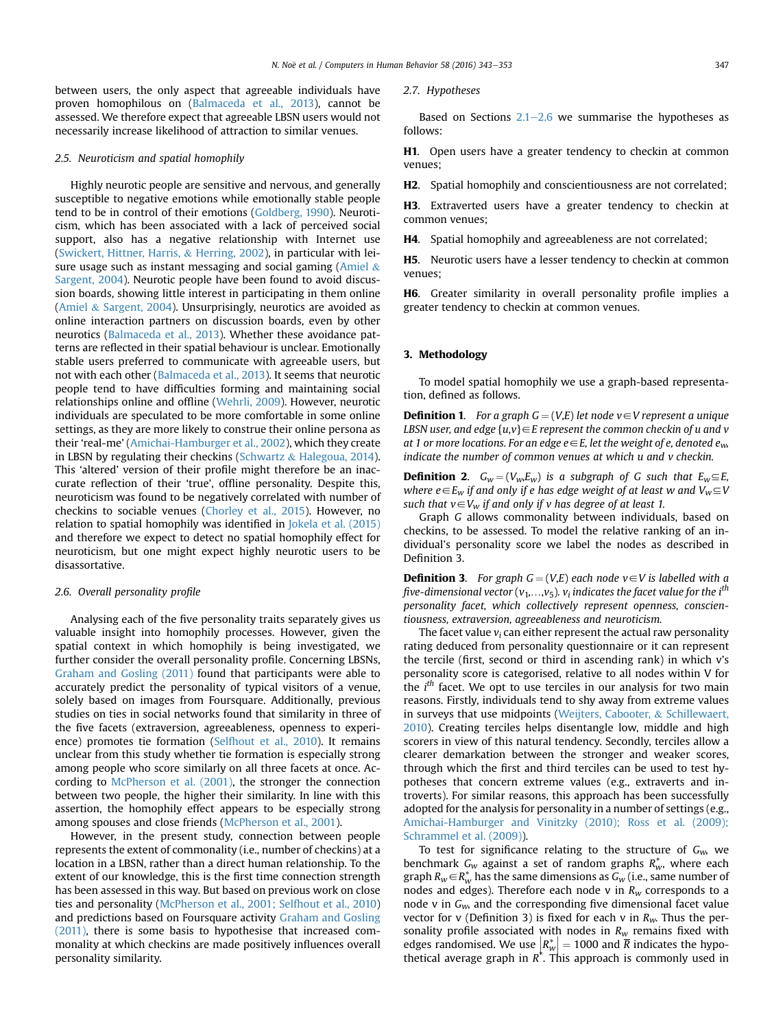<span id="page-4-0"></span>between users, the only aspect that agreeable individuals have proven homophilous on ([Balmaceda et al., 2013](#page-10-0)), cannot be assessed. We therefore expect that agreeable LBSN users would not necessarily increase likelihood of attraction to similar venues.

## 2.5. Neuroticism and spatial homophily

Highly neurotic people are sensitive and nervous, and generally susceptible to negative emotions while emotionally stable people tend to be in control of their emotions ([Goldberg, 1990](#page-10-0)). Neuroticism, which has been associated with a lack of perceived social support, also has a negative relationship with Internet use ([Swickert, Hittner, Harris,](#page-10-0) & [Herring, 2002\)](#page-10-0), in particular with lei-sure usage such as instant messaging and social gaming [\(Amiel](#page-10-0)  $\&$ [Sargent, 2004](#page-10-0)). Neurotic people have been found to avoid discussion boards, showing little interest in participating in them online ([Amiel](#page-10-0) & [Sargent, 2004\)](#page-10-0). Unsurprisingly, neurotics are avoided as online interaction partners on discussion boards, even by other neurotics ([Balmaceda et al., 2013](#page-10-0)). Whether these avoidance patterns are reflected in their spatial behaviour is unclear. Emotionally stable users preferred to communicate with agreeable users, but not with each other ([Balmaceda et al., 2013\)](#page-10-0). It seems that neurotic people tend to have difficulties forming and maintaining social relationships online and offline [\(Wehrli, 2009\)](#page-10-0). However, neurotic individuals are speculated to be more comfortable in some online settings, as they are more likely to construe their online persona as their 'real-me' ([Amichai-Hamburger et al., 2002](#page-10-0)), which they create in LBSN by regulating their checkins ([Schwartz](#page-10-0) & [Halegoua, 2014\)](#page-10-0). This 'altered' version of their profile might therefore be an inaccurate reflection of their 'true', offline personality. Despite this, neuroticism was found to be negatively correlated with number of checkins to sociable venues ([Chorley et al., 2015](#page-10-0)). However, no relation to spatial homophily was identified in [Jokela et al. \(2015\)](#page-10-0) and therefore we expect to detect no spatial homophily effect for neuroticism, but one might expect highly neurotic users to be disassortative.

## 2.6. Overall personality profile

Analysing each of the five personality traits separately gives us valuable insight into homophily processes. However, given the spatial context in which homophily is being investigated, we further consider the overall personality profile. Concerning LBSNs, [Graham and Gosling \(2011\)](#page-10-0) found that participants were able to accurately predict the personality of typical visitors of a venue, solely based on images from Foursquare. Additionally, previous studies on ties in social networks found that similarity in three of the five facets (extraversion, agreeableness, openness to experience) promotes tie formation [\(Selfhout et al., 2010\)](#page-10-0). It remains unclear from this study whether tie formation is especially strong among people who score similarly on all three facets at once. According to [McPherson et al. \(2001\)](#page-10-0), the stronger the connection between two people, the higher their similarity. In line with this assertion, the homophily effect appears to be especially strong among spouses and close friends ([McPherson et al., 2001](#page-10-0)).

However, in the present study, connection between people represents the extent of commonality (i.e., number of checkins) at a location in a LBSN, rather than a direct human relationship. To the extent of our knowledge, this is the first time connection strength has been assessed in this way. But based on previous work on close ties and personality [\(McPherson et al., 2001; Selfhout et al., 2010\)](#page-10-0) and predictions based on Foursquare activity [Graham and Gosling](#page-10-0) [\(2011\)](#page-10-0), there is some basis to hypothesise that increased commonality at which checkins are made positively influences overall personality similarity.

#### 2.7. Hypotheses

Based on Sections  $2.1-2.6$  $2.1-2.6$  $2.1-2.6$  we summarise the hypotheses as follows:

H1. Open users have a greater tendency to checkin at common venues;

H2. Spatial homophily and conscientiousness are not correlated;

H3. Extraverted users have a greater tendency to checkin at common venues;

H4. Spatial homophily and agreeableness are not correlated;

H5. Neurotic users have a lesser tendency to checkin at common venues;

H6. Greater similarity in overall personality profile implies a greater tendency to checkin at common venues.

## 3. Methodology

To model spatial homophily we use a graph-based representation, defined as follows.

**Definition 1.** For a graph  $G = (V, E)$  let node  $v \in V$  represent a unique LBSN user, and edge  $\{u,v\} \in E$  represent the common checkin of u and v at 1 or more locations. For an edge  $e \in E$ , let the weight of e, denoted  $e_w$ indicate the number of common venues at which u and v checkin.

**Definition 2.**  $G_w = (V_w, E_w)$  is a subgraph of G such that  $E_w \subseteq E$ , where  $e\in E_w$  if and only if e has edge weight of at least w and  $V_w\subseteq V$ such that  $v \in V_w$  if and only if v has degree of at least 1.

Graph G allows commonality between individuals, based on checkins, to be assessed. To model the relative ranking of an individual's personality score we label the nodes as described in Definition 3.

**Definition 3.** For graph  $G = (V,E)$  each node  $v \in V$  is labelled with a five-dimensional vector ( $v_1,...,v_5$ ).  $v_i$  indicates the facet value for the i<sup>th</sup> personality facet, which collectively represent openness, conscientiousness, extraversion, agreeableness and neuroticism.

The facet value  $v_i$  can either represent the actual raw personality rating deduced from personality questionnaire or it can represent the tercile (first, second or third in ascending rank) in which v's personality score is categorised, relative to all nodes within V for the *i*<sup>th</sup> facet. We opt to use terciles in our analysis for two main reasons. Firstly, individuals tend to shy away from extreme values in surveys that use midpoints ([Weijters, Cabooter,](#page-10-0) & [Schillewaert,](#page-10-0) [2010\)](#page-10-0). Creating terciles helps disentangle low, middle and high scorers in view of this natural tendency. Secondly, terciles allow a clearer demarkation between the stronger and weaker scores, through which the first and third terciles can be used to test hypotheses that concern extreme values (e.g., extraverts and introverts). For similar reasons, this approach has been successfully adopted for the analysis for personality in a number of settings (e.g., [Amichai-Hamburger and Vinitzky \(2010\); Ross et al. \(2009\);](#page-10-0) [Schrammel et al. \(2009\)\)](#page-10-0).

To test for significance relating to the structure of  $G_w$ , we benchmark  $G_w$  against a set of random graphs  $R_w^*$ , where each graph  $R_w\!\in\! R^*_w$  has the same dimensions as  $G_w$  (i.e., same number of nodes and edges). Therefore each node v in  $R_w$  corresponds to a node v in  $G_w$ , and the corresponding five dimensional facet value vector for v (Definition 3) is fixed for each v in  $R_w$ . Thus the personality profile associated with nodes in  $R_w$  remains fixed with edges randomised. We use  $\left| R_w^* \right| = 1000$  and  $\overline{R}$  indicates the hypo-<br>thetical average graph in  $R^*$ . This approach is commonly used in thetical average graph in  $R^*$ . This approach is commonly used in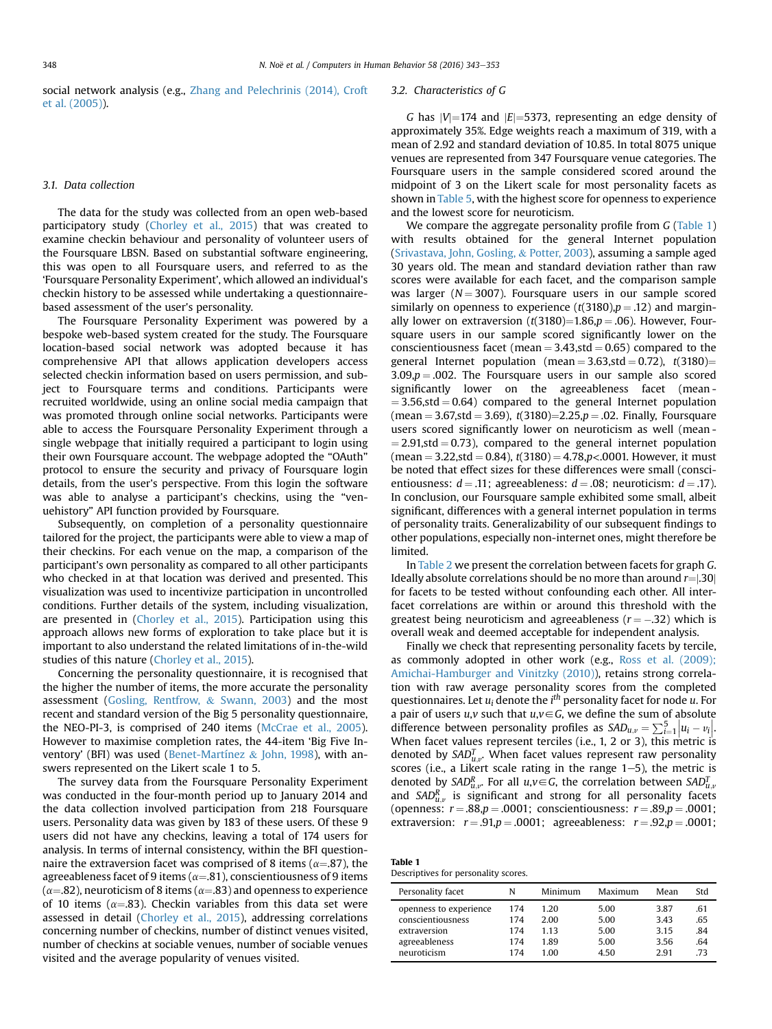<span id="page-5-0"></span>social network analysis (e.g., [Zhang and Pelechrinis \(2014\), Croft](#page-10-0) [et al. \(2005\)\)](#page-10-0).

## 3.1. Data collection

The data for the study was collected from an open web-based participatory study ([Chorley et al., 2015](#page-10-0)) that was created to examine checkin behaviour and personality of volunteer users of the Foursquare LBSN. Based on substantial software engineering, this was open to all Foursquare users, and referred to as the 'Foursquare Personality Experiment', which allowed an individual's checkin history to be assessed while undertaking a questionnairebased assessment of the user's personality.

The Foursquare Personality Experiment was powered by a bespoke web-based system created for the study. The Foursquare location-based social network was adopted because it has comprehensive API that allows application developers access selected checkin information based on users permission, and subject to Foursquare terms and conditions. Participants were recruited worldwide, using an online social media campaign that was promoted through online social networks. Participants were able to access the Foursquare Personality Experiment through a single webpage that initially required a participant to login using their own Foursquare account. The webpage adopted the "OAuth" protocol to ensure the security and privacy of Foursquare login details, from the user's perspective. From this login the software was able to analyse a participant's checkins, using the "venuehistory" API function provided by Foursquare.

Subsequently, on completion of a personality questionnaire tailored for the project, the participants were able to view a map of their checkins. For each venue on the map, a comparison of the participant's own personality as compared to all other participants who checked in at that location was derived and presented. This visualization was used to incentivize participation in uncontrolled conditions. Further details of the system, including visualization, are presented in ([Chorley et al., 2015](#page-10-0)). Participation using this approach allows new forms of exploration to take place but it is important to also understand the related limitations of in-the-wild studies of this nature ([Chorley et al., 2015\)](#page-10-0).

Concerning the personality questionnaire, it is recognised that the higher the number of items, the more accurate the personality assessment [\(Gosling, Rentfrow,](#page-10-0) & [Swann, 2003\)](#page-10-0) and the most recent and standard version of the Big 5 personality questionnaire, the NEO-PI-3, is comprised of 240 items ([McCrae et al., 2005\)](#page-10-0). However to maximise completion rates, the 44-item 'Big Five Inventory' (BFI) was used [\(Benet-Martínez](#page-10-0) & [John, 1998](#page-10-0)), with answers represented on the Likert scale 1 to 5.

The survey data from the Foursquare Personality Experiment was conducted in the four-month period up to January 2014 and the data collection involved participation from 218 Foursquare users. Personality data was given by 183 of these users. Of these 9 users did not have any checkins, leaving a total of 174 users for analysis. In terms of internal consistency, within the BFI questionnaire the extraversion facet was comprised of 8 items ( $\alpha = 0.87$ ), the agreeableness facet of 9 items ( $\alpha$ =.81), conscientiousness of 9 items ( $\alpha$ =.82), neuroticism of 8 items ( $\alpha$ =.83) and openness to experience of 10 items ( $\alpha = .83$ ). Checkin variables from this data set were assessed in detail ([Chorley et al., 2015](#page-10-0)), addressing correlations concerning number of checkins, number of distinct venues visited, number of checkins at sociable venues, number of sociable venues visited and the average popularity of venues visited.

#### 3.2. Characteristics of G

G has  $|V|=174$  and  $|E|=5373$ , representing an edge density of approximately 35%. Edge weights reach a maximum of 319, with a mean of 2.92 and standard deviation of 10.85. In total 8075 unique venues are represented from 347 Foursquare venue categories. The Foursquare users in the sample considered scored around the midpoint of 3 on the Likert scale for most personality facets as shown in [Table 5](#page-6-0), with the highest score for openness to experience and the lowest score for neuroticism.

We compare the aggregate personality profile from G (Table 1) with results obtained for the general Internet population ([Srivastava, John, Gosling,](#page-10-0) & [Potter, 2003](#page-10-0)), assuming a sample aged 30 years old. The mean and standard deviation rather than raw scores were available for each facet, and the comparison sample was larger ( $N = 3007$ ). Foursquare users in our sample scored similarly on openness to experience  $(t(3180), p = .12)$  and marginally lower on extraversion  $(t(3180)=1.86, p=.06)$ . However, Foursquare users in our sample scored significantly lower on the conscientiousness facet (mean  $= 3.43$ , std  $= 0.65$ ) compared to the general Internet population (mean =  $3.63$ , std = 0.72),  $t(3180)$ =  $3.09,p = .002$ . The Foursquare users in our sample also scored significantly lower on the agreeableness facet (mean -  $= 3.56$ , std  $= 0.64$ ) compared to the general Internet population  $(mean = 3.67, std = 3.69), t(3180)=2.25, p = .02. Finally, Foursquare$ users scored significantly lower on neuroticism as well (mean -  $= 2.91$ ,std  $= 0.73$ ), compared to the general internet population  $(mean = 3.22, std = 0.84), t(3180) = 4.78, p < .0001$ . However, it must be noted that effect sizes for these differences were small (conscientiousness:  $d = .11$ ; agreeableness:  $d = .08$ ; neuroticism:  $d = .17$ ). In conclusion, our Foursquare sample exhibited some small, albeit significant, differences with a general internet population in terms of personality traits. Generalizability of our subsequent findings to other populations, especially non-internet ones, might therefore be limited.

In [Table 2](#page-6-0) we present the correlation between facets for graph G. Ideally absolute correlations should be no more than around  $r=1,30$ for facets to be tested without confounding each other. All interfacet correlations are within or around this threshold with the greatest being neuroticism and agreeableness ( $r = -.32$ ) which is overall weak and deemed acceptable for independent analysis.

Finally we check that representing personality facets by tercile, as commonly adopted in other work (e.g., [Ross et al. \(2009\);](#page-10-0) [Amichai-Hamburger and Vinitzky \(2010\)\)](#page-10-0), retains strong correlation with raw average personality scores from the completed questionnaires. Let  $u_i$  denote the  $i^{th}$  personality facet for node  $u$ . For a pair of users  $u, v$  such that  $u, v \in G$ , we define the sum of absolute difference between personality profiles as  $SAD_{u,v} = \sum_{i=1}^{5} |u_i - v_i|$ .<br>When facet values represent tergiles (i.e. 1.2 or 3), this metric is When facet values represent terciles (i.e., 1, 2 or 3), this metric is denoted by SAD $_{u,v}^T$ . When facet values represent raw personality scores (i.e., a Likert scale rating in the range  $1-5$ ), the metric is denoted by SAD $_{u,v}^R$ . For all  $u,v \in G$ , the correlation between SAD $_{u,v}^T$ and  $SAD_{u,v}^R$  is significant and strong for all personality facets (openness:  $r = .88$ , $p = .0001$ ; conscientiousness:  $r = .89$ , $p = .0001$ ; extraversion:  $r = .91, p = .0001$ ; agreeableness:  $r = .92, p = .0001$ ;

| Table 1 |                                      |
|---------|--------------------------------------|
|         | Descriptives for personality scores. |

| Personality facet      | N   | Minimum | Maximum | Mean | Std |
|------------------------|-----|---------|---------|------|-----|
| openness to experience | 174 | 1.20    | 5.00    | 3.87 | .61 |
| conscientiousness      | 174 | 2.00    | 5.00    | 3.43 | .65 |
| extraversion           | 174 | 113     | 5.00    | 315  | .84 |
| agreeableness          | 174 | 1.89    | 5.00    | 3.56 | .64 |
| neuroticism            | 174 | 1 00    | 4.50    | 2.91 | -73 |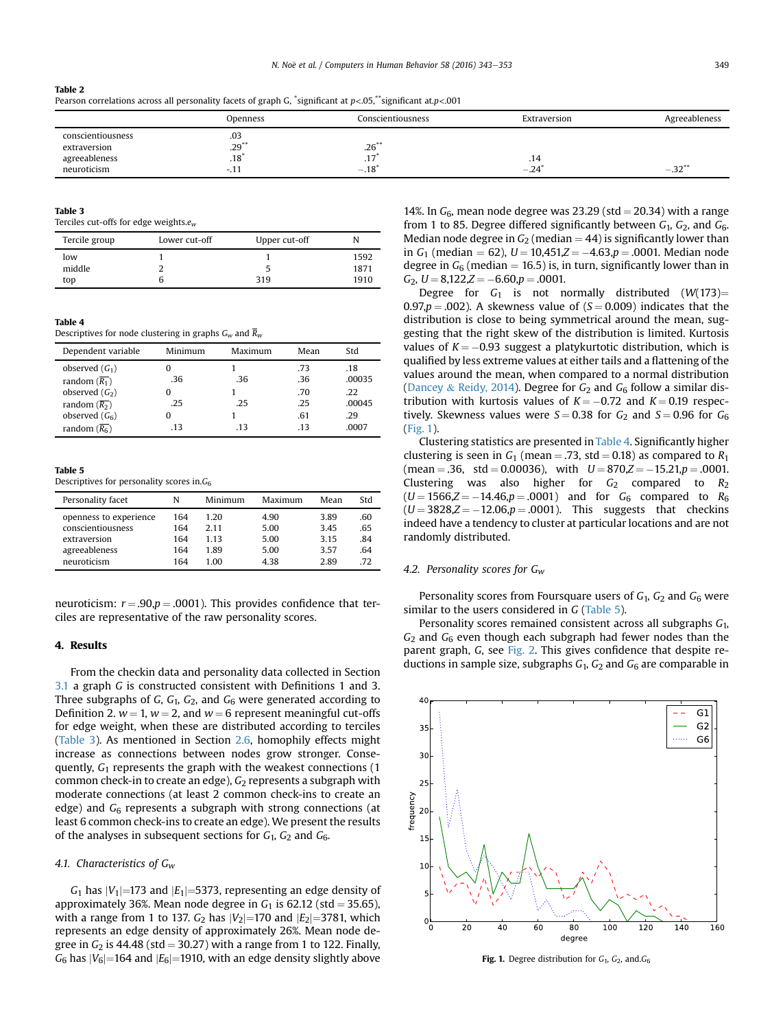<span id="page-6-0"></span>

| Table 2                                                                                                           |  |
|-------------------------------------------------------------------------------------------------------------------|--|
| Pearson correlations across all personality facets of graph G, *significant at $p<.05$ ,**significant at $p<.001$ |  |

|                                                                   | Openness                         | Conscientiousness               | Extraversion   | Agreeableness        |
|-------------------------------------------------------------------|----------------------------------|---------------------------------|----------------|----------------------|
| conscientiousness<br>extraversion<br>agreeableness<br>neuroticism | .03<br>$.29***$<br>.18<br>$-.11$ | $.26***$<br>າສ<br>.11<br>$-.18$ | .14<br>$-.24'$ | $-.32$ <sup>**</sup> |

## Table 3

Terciles cut-offs for edge weights. $e_w$ 

| Tercile group | Lower cut-off | Upper cut-off |      |
|---------------|---------------|---------------|------|
| low           |               |               | 1592 |
| middle        |               |               | 1871 |
| top           |               | 319           | 1910 |

#### Table 4

Descriptives for node clustering in graphs  $G_w$  and  $\overline{R}_w$ 

| Dependent variable                                                        | Minimum         | Maximum    | Mean              | Std                    |
|---------------------------------------------------------------------------|-----------------|------------|-------------------|------------------------|
| observed $(G_1)$<br>random $(\overline{R_1})$<br>observed $(G_2)$         | .36<br>0        | -36        | .73<br>.36<br>.70 | .18<br>.00035<br>.22   |
| random $(\overline{R_2})$<br>observed $(G6)$<br>random $(\overline{R_6})$ | .25<br>0<br>.13 | .25<br>-13 | .25<br>.61<br>-13 | .00045<br>.29<br>.0007 |

#### Table 5

Descriptives for personality scores in. $G_6$ 

| Personality facet      | N   | Minimum | Maximum | Mean | Std |
|------------------------|-----|---------|---------|------|-----|
| openness to experience | 164 | 1.20    | 4.90    | 3.89 | .60 |
| conscientiousness      | 164 | 2.11    | 5.00    | 3.45 | .65 |
| extraversion           | 164 | 113     | 5.00    | 3.15 | .84 |
| agreeableness          | 164 | 1.89    | 5.00    | 3.57 | .64 |
| neuroticism            | 164 | 1 00    | 4.38    | 2.89 | 72  |

neuroticism:  $r = .90, p = .0001$ ). This provides confidence that terciles are representative of the raw personality scores.

#### 4. Results

From the checkin data and personality data collected in Section [3.1](#page-5-0) a graph G is constructed consistent with Definitions 1 and 3. Three subgraphs of G,  $G_1$ ,  $G_2$ , and  $G_6$  were generated according to Definition 2.  $w = 1$ ,  $w = 2$ , and  $w = 6$  represent meaningful cut-offs for edge weight, when these are distributed according to terciles (Table 3). As mentioned in Section [2.6](#page-4-0), homophily effects might increase as connections between nodes grow stronger. Consequently,  $G_1$  represents the graph with the weakest connections (1) common check-in to create an edge),  $G_2$  represents a subgraph with moderate connections (at least 2 common check-ins to create an edge) and  $G_6$  represents a subgraph with strong connections (at least 6 common check-ins to create an edge). We present the results of the analyses in subsequent sections for  $G_1$ ,  $G_2$  and  $G_6$ .

## 4.1. Characteristics of  $G_w$

 $G_1$  has  $|V_1|=173$  and  $|E_1|=5373$ , representing an edge density of approximately 36%. Mean node degree in  $G_1$  is 62.12 (std = 35.65), with a range from 1 to 137.  $G_2$  has  $|V_2|=170$  and  $|E_2|=3781$ , which represents an edge density of approximately 26%. Mean node degree in  $G_2$  is 44.48 (std = 30.27) with a range from 1 to 122. Finally,  $G_6$  has  $|V_6|=164$  and  $|E_6|=1910$ , with an edge density slightly above

14%. In  $G_6$ , mean node degree was 23.29 (std = 20.34) with a range from 1 to 85. Degree differed significantly between  $G_1$ ,  $G_2$ , and  $G_6$ . Median node degree in  $G_2$  (median = 44) is significantly lower than in  $G_1$  (median = 62),  $U = 10,451, Z = -4.63, p = .0001$ . Median node degree in  $G_6$  (median = 16.5) is, in turn, significantly lower than in  $G_2, U = 8,122, Z = -6.60, p = .0001.$ 

Degree for  $G_1$  is not normally distributed  $(W(173)$ = 0.97, $p = .002$ ). A skewness value of  $(S = 0.009)$  indicates that the distribution is close to being symmetrical around the mean, suggesting that the right skew of the distribution is limited. Kurtosis values of  $K = -0.93$  suggest a platykurtotic distribution, which is qualified by less extreme values at either tails and a flattening of the values around the mean, when compared to a normal distribution ([Dancey](#page-10-0) & [Reidy, 2014](#page-10-0)). Degree for  $G_2$  and  $G_6$  follow a similar distribution with kurtosis values of  $K = -0.72$  and  $K = 0.19$  respectively. Skewness values were  $S = 0.38$  for  $G_2$  and  $S = 0.96$  for  $G_6$ (Fig. 1).

Clustering statistics are presented in Table 4. Significantly higher clustering is seen in  $G_1$  (mean = .73, std = 0.18) as compared to  $R_1$ (mean = .36, std = 0.00036), with  $U = 870, Z = -15.21, p = .0001$ . Clustering was also higher for  $G_2$  compared to  $R_2$  $(U = 1566, Z = -14.46, p = .0001)$  and for  $G_6$  compared to  $R_6$  $(U = 3828, Z = -12.06, p = .0001)$ . This suggests that checkins indeed have a tendency to cluster at particular locations and are not randomly distributed.

## 4.2. Personality scores for  $G_W$

Personality scores from Foursquare users of  $G_1$ ,  $G_2$  and  $G_6$  were similar to the users considered in G (Table 5).

Personality scores remained consistent across all subgraphs  $G_1$ ,  $G_2$  and  $G_6$  even though each subgraph had fewer nodes than the parent graph, G, see [Fig. 2.](#page-7-0) This gives confidence that despite reductions in sample size, subgraphs  $G_1$ ,  $G_2$  and  $G_6$  are comparable in



Fig. 1. Degree distribution for  $G_1$ ,  $G_2$ , and  $G_6$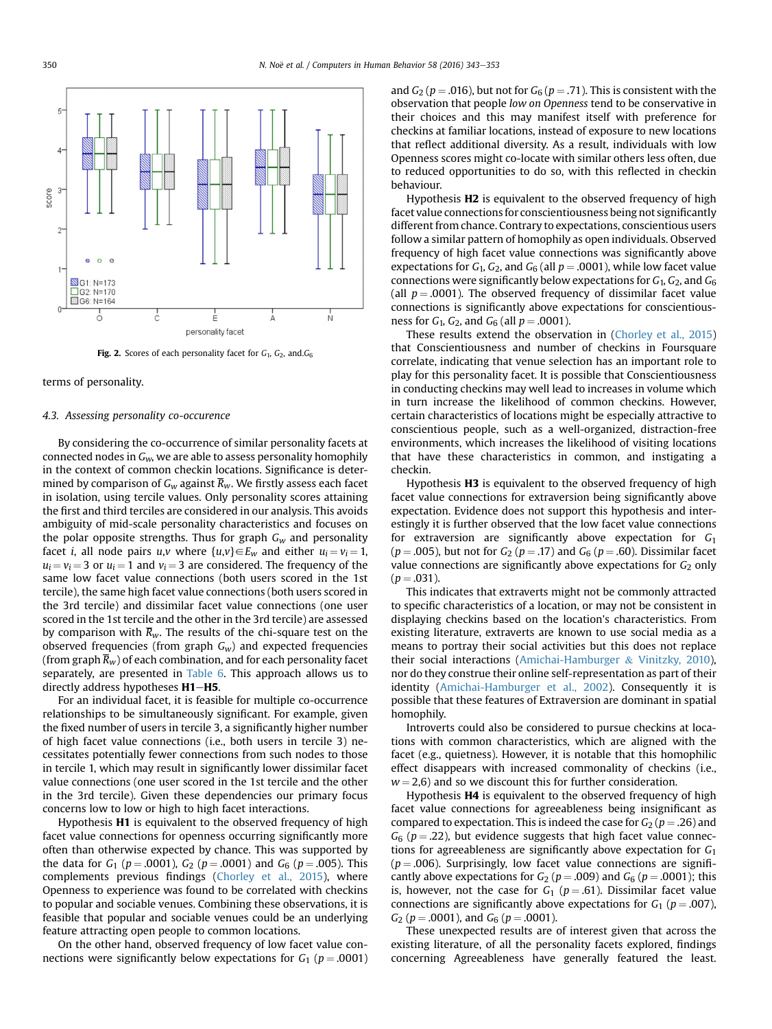<span id="page-7-0"></span>

Fig. 2. Scores of each personality facet for  $G_1$ ,  $G_2$ , and. $G_6$ 

#### terms of personality.

## 4.3. Assessing personality co-occurence

By considering the co-occurrence of similar personality facets at connected nodes in  $G_w$ , we are able to assess personality homophily in the context of common checkin locations. Significance is determined by comparison of  $G_w$  against  $\overline{R}_w$ . We firstly assess each facet in isolation, using tercile values. Only personality scores attaining the first and third terciles are considered in our analysis. This avoids ambiguity of mid-scale personality characteristics and focuses on the polar opposite strengths. Thus for graph  $G_w$  and personality facet *i*, all node pairs *u*,*v* where  $\{u,v\} \in E_w$  and either  $u_i = v_i = 1$ ,  $u_i = v_i = 3$  or  $u_i = 1$  and  $v_i = 3$  are considered. The frequency of the same low facet value connections (both users scored in the 1st tercile), the same high facet value connections (both users scored in the 3rd tercile) and dissimilar facet value connections (one user scored in the 1st tercile and the other in the 3rd tercile) are assessed by comparison with  $\overline{R}_w$ . The results of the chi-square test on the observed frequencies (from graph  $G_w$ ) and expected frequencies (from graph  $\overline{R}_w$ ) of each combination, and for each personality facet separately, are presented in [Table 6.](#page-8-0) This approach allows us to directly address hypotheses  $H1-H5$ .

For an individual facet, it is feasible for multiple co-occurrence relationships to be simultaneously significant. For example, given the fixed number of users in tercile 3, a significantly higher number of high facet value connections (i.e., both users in tercile 3) necessitates potentially fewer connections from such nodes to those in tercile 1, which may result in significantly lower dissimilar facet value connections (one user scored in the 1st tercile and the other in the 3rd tercile). Given these dependencies our primary focus concerns low to low or high to high facet interactions.

Hypothesis H1 is equivalent to the observed frequency of high facet value connections for openness occurring significantly more often than otherwise expected by chance. This was supported by the data for  $G_1$  ( $p = .0001$ ),  $G_2$  ( $p = .0001$ ) and  $G_6$  ( $p = .005$ ). This complements previous findings [\(Chorley et al., 2015](#page-10-0)), where Openness to experience was found to be correlated with checkins to popular and sociable venues. Combining these observations, it is feasible that popular and sociable venues could be an underlying feature attracting open people to common locations.

On the other hand, observed frequency of low facet value connections were significantly below expectations for  $G_1$  ( $p = .0001$ ) and  $G_2$  ( $p = .016$ ), but not for  $G_6$  ( $p = .71$ ). This is consistent with the observation that people low on Openness tend to be conservative in their choices and this may manifest itself with preference for checkins at familiar locations, instead of exposure to new locations that reflect additional diversity. As a result, individuals with low Openness scores might co-locate with similar others less often, due to reduced opportunities to do so, with this reflected in checkin behaviour.

Hypothesis H2 is equivalent to the observed frequency of high facet value connections for conscientiousness being not significantly different from chance. Contrary to expectations, conscientious users follow a similar pattern of homophily as open individuals. Observed frequency of high facet value connections was significantly above expectations for  $G_1$ ,  $G_2$ , and  $G_6$  (all  $p = .0001$ ), while low facet value connections were significantly below expectations for  $G_1$ ,  $G_2$ , and  $G_6$ (all  $p = .0001$ ). The observed frequency of dissimilar facet value connections is significantly above expectations for conscientiousness for  $G_1$ ,  $G_2$ , and  $G_6$  (all  $p = .0001$ ).

These results extend the observation in ([Chorley et al., 2015\)](#page-10-0) that Conscientiousness and number of checkins in Foursquare correlate, indicating that venue selection has an important role to play for this personality facet. It is possible that Conscientiousness in conducting checkins may well lead to increases in volume which in turn increase the likelihood of common checkins. However, certain characteristics of locations might be especially attractive to conscientious people, such as a well-organized, distraction-free environments, which increases the likelihood of visiting locations that have these characteristics in common, and instigating a checkin.

Hypothesis **H3** is equivalent to the observed frequency of high facet value connections for extraversion being significantly above expectation. Evidence does not support this hypothesis and interestingly it is further observed that the low facet value connections for extraversion are significantly above expectation for  $G_1$  $(p = .005)$ , but not for  $G_2$   $(p = .17)$  and  $G_6$   $(p = .60)$ . Dissimilar facet value connections are significantly above expectations for  $G_2$  only  $(p = .031)$ .

This indicates that extraverts might not be commonly attracted to specific characteristics of a location, or may not be consistent in displaying checkins based on the location's characteristics. From existing literature, extraverts are known to use social media as a means to portray their social activities but this does not replace their social interactions ([Amichai-Hamburger](#page-10-0) & [Vinitzky, 2010\)](#page-10-0), nor do they construe their online self-representation as part of their identity ([Amichai-Hamburger et al., 2002\)](#page-10-0). Consequently it is possible that these features of Extraversion are dominant in spatial homophily.

Introverts could also be considered to pursue checkins at locations with common characteristics, which are aligned with the facet (e.g., quietness). However, it is notable that this homophilic effect disappears with increased commonality of checkins (i.e.,  $w = 2,6$ ) and so we discount this for further consideration.

Hypothesis H4 is equivalent to the observed frequency of high facet value connections for agreeableness being insignificant as compared to expectation. This is indeed the case for  $G_2$  ( $p = .26$ ) and  $G_6$  ( $p = .22$ ), but evidence suggests that high facet value connections for agreeableness are significantly above expectation for  $G_1$  $(p = .006)$ . Surprisingly, low facet value connections are significantly above expectations for  $G_2$  ( $p = .009$ ) and  $G_6$  ( $p = .0001$ ); this is, however, not the case for  $G_1$  ( $p = .61$ ). Dissimilar facet value connections are significantly above expectations for  $G_1$  ( $p = .007$ ),  $G_2$  ( $p = .0001$ ), and  $G_6$  ( $p = .0001$ ).

These unexpected results are of interest given that across the existing literature, of all the personality facets explored, findings concerning Agreeableness have generally featured the least.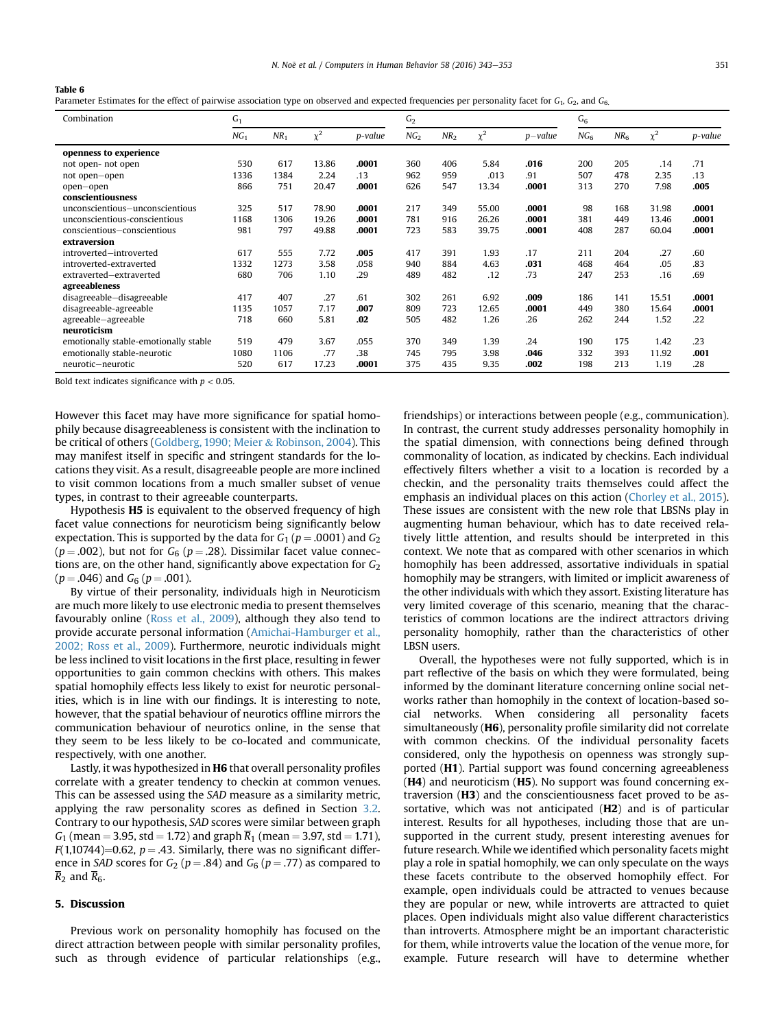#### <span id="page-8-0"></span>Table 6

Parameter Estimates for the effect of pairwise association type on observed and expected frequencies per personality facet for  $G_1$ ,  $G_2$ , and  $G_6$ .

| Combination                           | G <sub>1</sub>  |        |          |         | G <sub>2</sub>  |                 |          | $G_6$      |                 |                 |          |         |
|---------------------------------------|-----------------|--------|----------|---------|-----------------|-----------------|----------|------------|-----------------|-----------------|----------|---------|
|                                       | NG <sub>1</sub> | $NR_1$ | $\chi^2$ | p-value | NG <sub>2</sub> | NR <sub>2</sub> | $\chi^2$ | $p$ -value | NG <sub>6</sub> | NR <sub>6</sub> | $\chi^2$ | p-value |
| openness to experience                |                 |        |          |         |                 |                 |          |            |                 |                 |          |         |
| not open- not open                    | 530             | 617    | 13.86    | .0001   | 360             | 406             | 5.84     | .016       | 200             | 205             | .14      | .71     |
| not open-open                         | 1336            | 1384   | 2.24     | .13     | 962             | 959             | .013     | .91        | 507             | 478             | 2.35     | .13     |
| open-open                             | 866             | 751    | 20.47    | .0001   | 626             | 547             | 13.34    | .0001      | 313             | 270             | 7.98     | .005    |
| conscientiousness                     |                 |        |          |         |                 |                 |          |            |                 |                 |          |         |
| unconscientious-unconscientious       | 325             | 517    | 78.90    | .0001   | 217             | 349             | 55.00    | .0001      | 98              | 168             | 31.98    | .0001   |
| unconscientious-conscientious         | 1168            | 1306   | 19.26    | .0001   | 781             | 916             | 26.26    | .0001      | 381             | 449             | 13.46    | .0001   |
| conscientious-conscientious           | 981             | 797    | 49.88    | .0001   | 723             | 583             | 39.75    | .0001      | 408             | 287             | 60.04    | .0001   |
| extraversion                          |                 |        |          |         |                 |                 |          |            |                 |                 |          |         |
| introverted-introverted               | 617             | 555    | 7.72     | .005    | 417             | 391             | 1.93     | .17        | 211             | 204             | .27      | .60     |
| introverted-extraverted               | 1332            | 1273   | 3.58     | .058    | 940             | 884             | 4.63     | .031       | 468             | 464             | .05      | .83     |
| extraverted-extraverted               | 680             | 706    | 1.10     | .29     | 489             | 482             | .12      | .73        | 247             | 253             | .16      | .69     |
| agreeableness                         |                 |        |          |         |                 |                 |          |            |                 |                 |          |         |
| disagreeable-disagreeable             | 417             | 407    | .27      | .61     | 302             | 261             | 6.92     | .009       | 186             | 141             | 15.51    | .0001   |
| disagreeable-agreeable                | 1135            | 1057   | 7.17     | .007    | 809             | 723             | 12.65    | .0001      | 449             | 380             | 15.64    | .0001   |
| agreeable-agreeable                   | 718             | 660    | 5.81     | .02     | 505             | 482             | 1.26     | .26        | 262             | 244             | 1.52     | .22     |
| neuroticism                           |                 |        |          |         |                 |                 |          |            |                 |                 |          |         |
| emotionally stable-emotionally stable | 519             | 479    | 3.67     | .055    | 370             | 349             | 1.39     | .24        | 190             | 175             | 1.42     | .23     |
| emotionally stable-neurotic           | 1080            | 1106   | .77      | .38     | 745             | 795             | 3.98     | .046       | 332             | 393             | 11.92    | .001    |
| neurotic-neurotic                     | 520             | 617    | 17.23    | .0001   | 375             | 435             | 9.35     | .002       | 198             | 213             | 1.19     | .28     |

Bold text indicates significance with  $p < 0.05$ .

However this facet may have more significance for spatial homophily because disagreeableness is consistent with the inclination to be critical of others [\(Goldberg, 1990; Meier](#page-10-0) & [Robinson, 2004](#page-10-0)). This may manifest itself in specific and stringent standards for the locations they visit. As a result, disagreeable people are more inclined to visit common locations from a much smaller subset of venue types, in contrast to their agreeable counterparts.

Hypothesis **H5** is equivalent to the observed frequency of high facet value connections for neuroticism being significantly below expectation. This is supported by the data for  $G_1$  ( $p = .0001$ ) and  $G_2$  $(p = .002)$ , but not for  $G_6$  ( $p = .28$ ). Dissimilar facet value connections are, on the other hand, significantly above expectation for  $G_2$  $(p = .046)$  and  $G_6$   $(p = .001)$ .

By virtue of their personality, individuals high in Neuroticism are much more likely to use electronic media to present themselves favourably online [\(Ross et al., 2009\)](#page-10-0), although they also tend to provide accurate personal information ([Amichai-Hamburger et al.,](#page-10-0) [2002; Ross et al., 2009\)](#page-10-0). Furthermore, neurotic individuals might be less inclined to visit locations in the first place, resulting in fewer opportunities to gain common checkins with others. This makes spatial homophily effects less likely to exist for neurotic personalities, which is in line with our findings. It is interesting to note, however, that the spatial behaviour of neurotics offline mirrors the communication behaviour of neurotics online, in the sense that they seem to be less likely to be co-located and communicate, respectively, with one another.

Lastly, it was hypothesized in H6 that overall personality profiles correlate with a greater tendency to checkin at common venues. This can be assessed using the SAD measure as a similarity metric, applying the raw personality scores as defined in Section [3.2.](#page-5-0) Contrary to our hypothesis, SAD scores were similar between graph  $G_1$  (mean = 3.95, std = 1.72) and graph  $\overline{R}_1$  (mean = 3.97, std = 1.71),  $F(1,10744) = 0.62$ ,  $p = .43$ . Similarly, there was no significant difference in SAD scores for  $G_2$  ( $p = .84$ ) and  $G_6$  ( $p = .77$ ) as compared to  $\overline{R}_2$  and  $\overline{R}_6$ .

## 5. Discussion

Previous work on personality homophily has focused on the direct attraction between people with similar personality profiles, such as through evidence of particular relationships (e.g., friendships) or interactions between people (e.g., communication). In contrast, the current study addresses personality homophily in the spatial dimension, with connections being defined through commonality of location, as indicated by checkins. Each individual effectively filters whether a visit to a location is recorded by a checkin, and the personality traits themselves could affect the emphasis an individual places on this action [\(Chorley et al., 2015\)](#page-10-0). These issues are consistent with the new role that LBSNs play in augmenting human behaviour, which has to date received relatively little attention, and results should be interpreted in this context. We note that as compared with other scenarios in which homophily has been addressed, assortative individuals in spatial homophily may be strangers, with limited or implicit awareness of the other individuals with which they assort. Existing literature has very limited coverage of this scenario, meaning that the characteristics of common locations are the indirect attractors driving personality homophily, rather than the characteristics of other LBSN users.

Overall, the hypotheses were not fully supported, which is in part reflective of the basis on which they were formulated, being informed by the dominant literature concerning online social networks rather than homophily in the context of location-based social networks. When considering all personality facets simultaneously (H6), personality profile similarity did not correlate with common checkins. Of the individual personality facets considered, only the hypothesis on openness was strongly supported (H1). Partial support was found concerning agreeableness (H4) and neuroticism (H5). No support was found concerning extraversion (H3) and the conscientiousness facet proved to be assortative, which was not anticipated (H2) and is of particular interest. Results for all hypotheses, including those that are unsupported in the current study, present interesting avenues for future research. While we identified which personality facets might play a role in spatial homophily, we can only speculate on the ways these facets contribute to the observed homophily effect. For example, open individuals could be attracted to venues because they are popular or new, while introverts are attracted to quiet places. Open individuals might also value different characteristics than introverts. Atmosphere might be an important characteristic for them, while introverts value the location of the venue more, for example. Future research will have to determine whether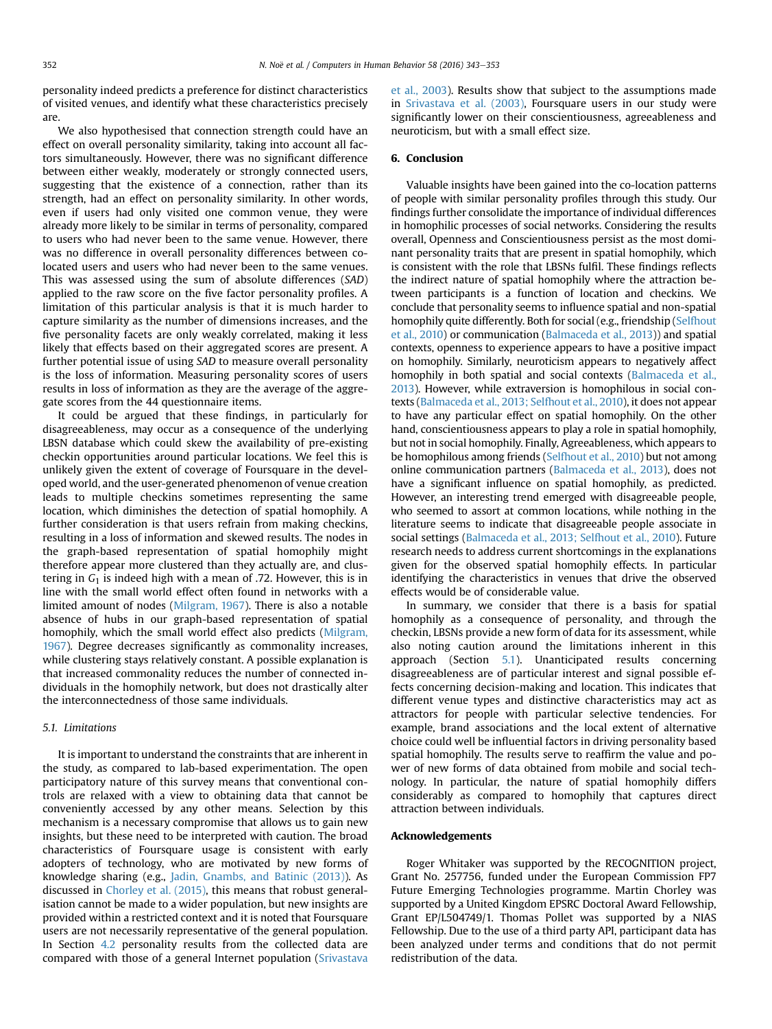personality indeed predicts a preference for distinct characteristics of visited venues, and identify what these characteristics precisely are.

We also hypothesised that connection strength could have an effect on overall personality similarity, taking into account all factors simultaneously. However, there was no significant difference between either weakly, moderately or strongly connected users, suggesting that the existence of a connection, rather than its strength, had an effect on personality similarity. In other words, even if users had only visited one common venue, they were already more likely to be similar in terms of personality, compared to users who had never been to the same venue. However, there was no difference in overall personality differences between colocated users and users who had never been to the same venues. This was assessed using the sum of absolute differences (SAD) applied to the raw score on the five factor personality profiles. A limitation of this particular analysis is that it is much harder to capture similarity as the number of dimensions increases, and the five personality facets are only weakly correlated, making it less likely that effects based on their aggregated scores are present. A further potential issue of using SAD to measure overall personality is the loss of information. Measuring personality scores of users results in loss of information as they are the average of the aggregate scores from the 44 questionnaire items.

It could be argued that these findings, in particularly for disagreeableness, may occur as a consequence of the underlying LBSN database which could skew the availability of pre-existing checkin opportunities around particular locations. We feel this is unlikely given the extent of coverage of Foursquare in the developed world, and the user-generated phenomenon of venue creation leads to multiple checkins sometimes representing the same location, which diminishes the detection of spatial homophily. A further consideration is that users refrain from making checkins, resulting in a loss of information and skewed results. The nodes in the graph-based representation of spatial homophily might therefore appear more clustered than they actually are, and clustering in  $G_1$  is indeed high with a mean of .72. However, this is in line with the small world effect often found in networks with a limited amount of nodes [\(Milgram, 1967\)](#page-10-0). There is also a notable absence of hubs in our graph-based representation of spatial homophily, which the small world effect also predicts ([Milgram,](#page-10-0) [1967](#page-10-0)). Degree decreases significantly as commonality increases, while clustering stays relatively constant. A possible explanation is that increased commonality reduces the number of connected individuals in the homophily network, but does not drastically alter the interconnectedness of those same individuals.

## 5.1. Limitations

It is important to understand the constraints that are inherent in the study, as compared to lab-based experimentation. The open participatory nature of this survey means that conventional controls are relaxed with a view to obtaining data that cannot be conveniently accessed by any other means. Selection by this mechanism is a necessary compromise that allows us to gain new insights, but these need to be interpreted with caution. The broad characteristics of Foursquare usage is consistent with early adopters of technology, who are motivated by new forms of knowledge sharing (e.g., [Jadin, Gnambs, and Batinic \(2013\)\)](#page-10-0). As discussed in [Chorley et al. \(2015\),](#page-10-0) this means that robust generalisation cannot be made to a wider population, but new insights are provided within a restricted context and it is noted that Foursquare users are not necessarily representative of the general population. In Section [4.2](#page-6-0) personality results from the collected data are compared with those of a general Internet population [\(Srivastava](#page-10-0) [et al., 2003](#page-10-0)). Results show that subject to the assumptions made in [Srivastava et al. \(2003\)](#page-10-0), Foursquare users in our study were significantly lower on their conscientiousness, agreeableness and neuroticism, but with a small effect size.

## 6. Conclusion

Valuable insights have been gained into the co-location patterns of people with similar personality profiles through this study. Our findings further consolidate the importance of individual differences in homophilic processes of social networks. Considering the results overall, Openness and Conscientiousness persist as the most dominant personality traits that are present in spatial homophily, which is consistent with the role that LBSNs fulfil. These findings reflects the indirect nature of spatial homophily where the attraction between participants is a function of location and checkins. We conclude that personality seems to influence spatial and non-spatial homophily quite differently. Both for social (e.g., friendship [\(Selfhout](#page-10-0) [et al., 2010\)](#page-10-0) or communication [\(Balmaceda et al., 2013\)](#page-10-0)) and spatial contexts, openness to experience appears to have a positive impact on homophily. Similarly, neuroticism appears to negatively affect homophily in both spatial and social contexts [\(Balmaceda et al.,](#page-10-0) [2013\)](#page-10-0). However, while extraversion is homophilous in social contexts [\(Balmaceda et al., 2013; Selfhout et al., 2010\)](#page-10-0), it does not appear to have any particular effect on spatial homophily. On the other hand, conscientiousness appears to play a role in spatial homophily, but not in social homophily. Finally, Agreeableness, which appears to be homophilous among friends ([Selfhout et al., 2010\)](#page-10-0) but not among online communication partners [\(Balmaceda et al., 2013](#page-10-0)), does not have a significant influence on spatial homophily, as predicted. However, an interesting trend emerged with disagreeable people, who seemed to assort at common locations, while nothing in the literature seems to indicate that disagreeable people associate in social settings ([Balmaceda et al., 2013; Selfhout et al., 2010](#page-10-0)). Future research needs to address current shortcomings in the explanations given for the observed spatial homophily effects. In particular identifying the characteristics in venues that drive the observed effects would be of considerable value.

In summary, we consider that there is a basis for spatial homophily as a consequence of personality, and through the checkin, LBSNs provide a new form of data for its assessment, while also noting caution around the limitations inherent in this approach (Section 5.1). Unanticipated results concerning disagreeableness are of particular interest and signal possible effects concerning decision-making and location. This indicates that different venue types and distinctive characteristics may act as attractors for people with particular selective tendencies. For example, brand associations and the local extent of alternative choice could well be influential factors in driving personality based spatial homophily. The results serve to reaffirm the value and power of new forms of data obtained from mobile and social technology. In particular, the nature of spatial homophily differs considerably as compared to homophily that captures direct attraction between individuals.

#### Acknowledgements

Roger Whitaker was supported by the RECOGNITION project, Grant No. 257756, funded under the European Commission FP7 Future Emerging Technologies programme. Martin Chorley was supported by a United Kingdom EPSRC Doctoral Award Fellowship, Grant EP/L504749/1. Thomas Pollet was supported by a NIAS Fellowship. Due to the use of a third party API, participant data has been analyzed under terms and conditions that do not permit redistribution of the data.